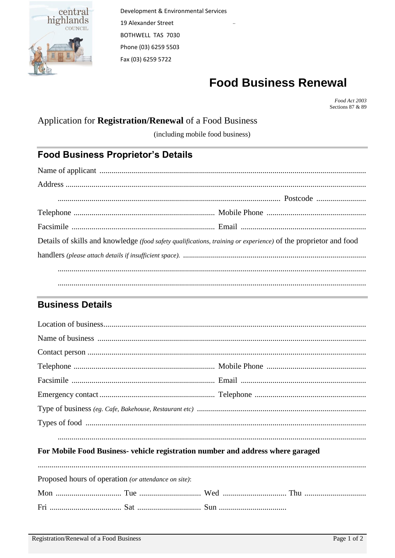

# **Food Business Renewal**

Food Act 2003 Sections 87 & 89

### Application for Registration/Renewal of a Food Business

(including mobile food business)

## **Food Business Proprietor's Details**

| Details of skills and knowledge (food safety qualifications, training or experience) of the proprietor and food |  |
|-----------------------------------------------------------------------------------------------------------------|--|
|                                                                                                                 |  |
|                                                                                                                 |  |
|                                                                                                                 |  |

### **Business Details**

#### For Mobile Food Business- vehicle registration number and address where garaged

| Proposed hours of operation (or attendance on site): |  |  |
|------------------------------------------------------|--|--|
|                                                      |  |  |
|                                                      |  |  |